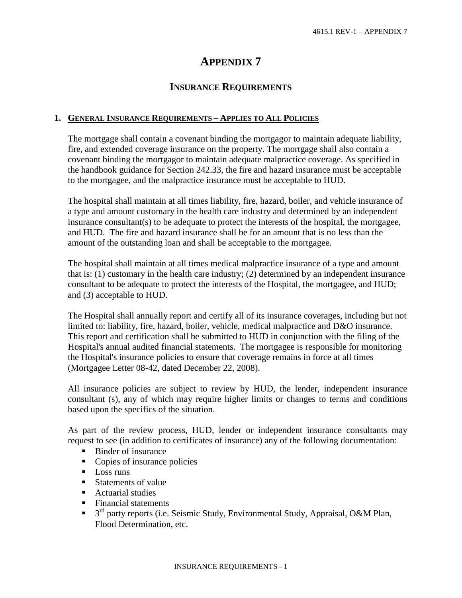# **APPENDIX 7**

## **INSURANCE REQUIREMENTS**

## **1. GENERAL INSURANCE REQUIREMENTS – APPLIES TO ALL POLICIES**

The mortgage shall contain a covenant binding the mortgagor to maintain adequate liability, fire, and extended coverage insurance on the property. The mortgage shall also contain a covenant binding the mortgagor to maintain adequate malpractice coverage. As specified in the handbook guidance for Section 242.33, the fire and hazard insurance must be acceptable to the mortgagee, and the malpractice insurance must be acceptable to HUD.

The hospital shall maintain at all times liability, fire, hazard, boiler, and vehicle insurance of a type and amount customary in the health care industry and determined by an independent insurance consultant(s) to be adequate to protect the interests of the hospital, the mortgagee, and HUD. The fire and hazard insurance shall be for an amount that is no less than the amount of the outstanding loan and shall be acceptable to the mortgagee.

The hospital shall maintain at all times medical malpractice insurance of a type and amount that is: (1) customary in the health care industry; (2) determined by an independent insurance consultant to be adequate to protect the interests of the Hospital, the mortgagee, and HUD; and (3) acceptable to HUD.

The Hospital shall annually report and certify all of its insurance coverages, including but not limited to: liability, fire, hazard, boiler, vehicle, medical malpractice and D&O insurance. This report and certification shall be submitted to HUD in conjunction with the filing of the Hospital's annual audited financial statements. The mortgagee is responsible for monitoring the Hospital's insurance policies to ensure that coverage remains in force at all times (Mortgagee Letter 08-42, dated December 22, 2008).

All insurance policies are subject to review by HUD, the lender, independent insurance consultant (s), any of which may require higher limits or changes to terms and conditions based upon the specifics of the situation.

As part of the review process, HUD, lender or independent insurance consultants may request to see (in addition to certificates of insurance) any of the following documentation:

- Binder of insurance
- Copies of insurance policies
- **Loss runs**
- Statements of value
- Actuarial studies
- Financial statements
- $\blacksquare$  3<sup>rd</sup> party reports (i.e. Seismic Study, Environmental Study, Appraisal, O&M Plan, Flood Determination, etc.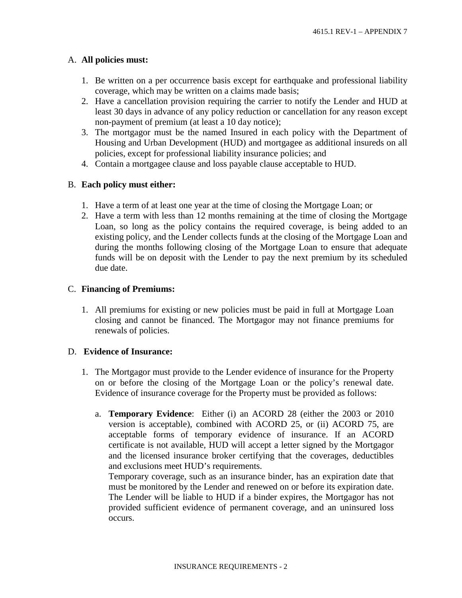## A. **All policies must:**

- 1. Be written on a per occurrence basis except for earthquake and professional liability coverage, which may be written on a claims made basis;
- 2. Have a cancellation provision requiring the carrier to notify the Lender and HUD at least 30 days in advance of any policy reduction or cancellation for any reason except non-payment of premium (at least a 10 day notice);
- 3. The mortgagor must be the named Insured in each policy with the Department of Housing and Urban Development (HUD) and mortgagee as additional insureds on all policies, except for professional liability insurance policies; and
- 4. Contain a mortgagee clause and loss payable clause acceptable to HUD.

## B. **Each policy must either:**

- 1. Have a term of at least one year at the time of closing the Mortgage Loan; or
- 2. Have a term with less than 12 months remaining at the time of closing the Mortgage Loan, so long as the policy contains the required coverage, is being added to an existing policy, and the Lender collects funds at the closing of the Mortgage Loan and during the months following closing of the Mortgage Loan to ensure that adequate funds will be on deposit with the Lender to pay the next premium by its scheduled due date.

## C. **Financing of Premiums:**

1. All premiums for existing or new policies must be paid in full at Mortgage Loan closing and cannot be financed. The Mortgagor may not finance premiums for renewals of policies.

## D. **Evidence of Insurance:**

- 1. The Mortgagor must provide to the Lender evidence of insurance for the Property on or before the closing of the Mortgage Loan or the policy's renewal date. Evidence of insurance coverage for the Property must be provided as follows:
	- a. **Temporary Evidence**: Either (i) an ACORD 28 (either the 2003 or 2010 version is acceptable), combined with ACORD 25, or (ii) ACORD 75, are acceptable forms of temporary evidence of insurance. If an ACORD certificate is not available, HUD will accept a letter signed by the Mortgagor and the licensed insurance broker certifying that the coverages, deductibles and exclusions meet HUD's requirements.

Temporary coverage, such as an insurance binder, has an expiration date that must be monitored by the Lender and renewed on or before its expiration date. The Lender will be liable to HUD if a binder expires, the Mortgagor has not provided sufficient evidence of permanent coverage, and an uninsured loss occurs.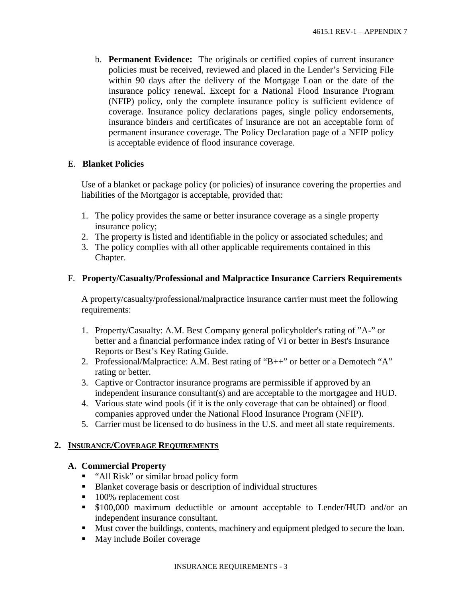b. **Permanent Evidence:** The originals or certified copies of current insurance policies must be received, reviewed and placed in the Lender's Servicing File within 90 days after the delivery of the Mortgage Loan or the date of the insurance policy renewal. Except for a National Flood Insurance Program (NFIP) policy, only the complete insurance policy is sufficient evidence of coverage. Insurance policy declarations pages, single policy endorsements, insurance binders and certificates of insurance are not an acceptable form of permanent insurance coverage. The Policy Declaration page of a NFIP policy is acceptable evidence of flood insurance coverage.

## E. **Blanket Policies**

Use of a blanket or package policy (or policies) of insurance covering the properties and liabilities of the Mortgagor is acceptable, provided that:

- 1. The policy provides the same or better insurance coverage as a single property insurance policy;
- 2. The property is listed and identifiable in the policy or associated schedules; and
- 3. The policy complies with all other applicable requirements contained in this Chapter.

## F. **Property/Casualty/Professional and Malpractice Insurance Carriers Requirements**

A property/casualty/professional/malpractice insurance carrier must meet the following requirements:

- 1. Property/Casualty: A.M. Best Company general policyholder's rating of "A-" or better and a financial performance index rating of VI or better in Best's Insurance Reports or Best's Key Rating Guide.
- 2. Professional/Malpractice: A.M. Best rating of "B++" or better or a Demotech "A" rating or better.
- 3. Captive or Contractor insurance programs are permissible if approved by an independent insurance consultant(s) and are acceptable to the mortgagee and HUD.
- 4. Various state wind pools (if it is the only coverage that can be obtained) or flood companies approved under the National Flood Insurance Program (NFIP).
- 5. Carrier must be licensed to do business in the U.S. and meet all state requirements.

## **2. INSURANCE/COVERAGE REQUIREMENTS**

## **A. Commercial Property**

- "All Risk" or similar broad policy form
- Blanket coverage basis or description of individual structures
- 100% replacement cost
- \$100,000 maximum deductible or amount acceptable to Lender/HUD and/or an independent insurance consultant.
- Must cover the buildings, contents, machinery and equipment pledged to secure the loan.
- May include Boiler coverage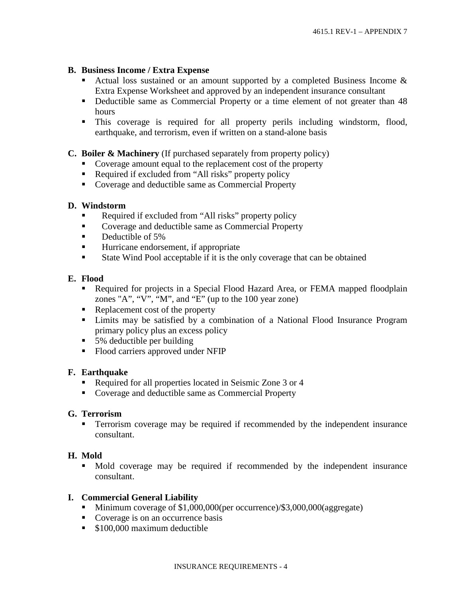#### **B. Business Income / Extra Expense**

- Actual loss sustained or an amount supported by a completed Business Income  $\&$ Extra Expense Worksheet and approved by an independent insurance consultant
- Deductible same as Commercial Property or a time element of not greater than 48 hours
- This coverage is required for all property perils including windstorm, flood, earthquake, and terrorism, even if written on a stand-alone basis

#### **C. Boiler & Machinery** (If purchased separately from property policy)

- Coverage amount equal to the replacement cost of the property
- Required if excluded from "All risks" property policy
- Coverage and deductible same as Commercial Property

#### **D. Windstorm**

- Required if excluded from "All risks" property policy
- **EXECOVERGIST:** Coverage and deductible same as Commercial Property
- **•** Deductible of 5%
- Hurricane endorsement, if appropriate
- State Wind Pool acceptable if it is the only coverage that can be obtained

#### **E. Flood**

- Required for projects in a Special Flood Hazard Area, or FEMA mapped floodplain zones "A", "V", "M", and "E" (up to the 100 year zone)
- Replacement cost of the property
- Limits may be satisfied by a combination of a National Flood Insurance Program primary policy plus an excess policy
- primary policy prus an exerci-<br>■ 5% deductible per building
- Flood carriers approved under NFIP

## **F. Earthquake**

- Required for all properties located in Seismic Zone 3 or 4
- Coverage and deductible same as Commercial Property

## **G. Terrorism**

 Terrorism coverage may be required if recommended by the independent insurance consultant.

## **H. Mold**

 Mold coverage may be required if recommended by the independent insurance consultant.

#### **I. Commercial General Liability**

- Minimum coverage of \$1,000,000(per occurrence)/\$3,000,000(aggregate)
- Coverage is on an occurrence basis
- **S100,000** maximum deductible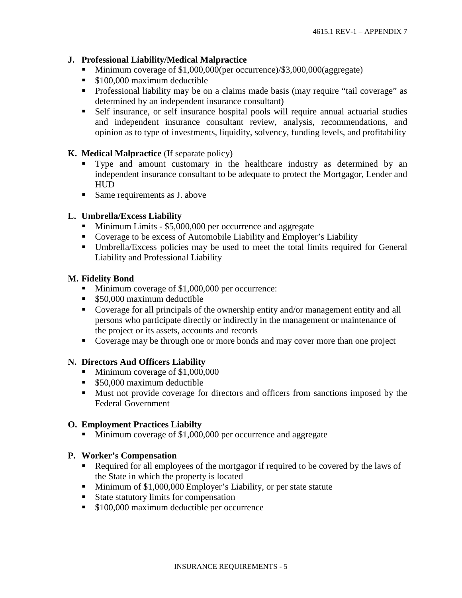## **J. Professional Liability/Medical Malpractice**

- Minimum coverage of \$1,000,000(per occurrence)/\$3,000,000(aggregate)
- **S100,000 maximum deductible**
- Professional liability may be on a claims made basis (may require "tail coverage" as determined by an independent insurance consultant)
- Self insurance, or self insurance hospital pools will require annual actuarial studies and independent insurance consultant review, analysis, recommendations, and opinion as to type of investments, liquidity, solvency, funding levels, and profitability

## **K. Medical Malpractice** (If separate policy)

- Type and amount customary in the healthcare industry as determined by an independent insurance consultant to be adequate to protect the Mortgagor, Lender and **HUD**
- **Same requirements as J. above**

## **L. Umbrella/Excess Liability**

- Minimum Limits \$5,000,000 per occurrence and aggregate
- Coverage to be excess of Automobile Liability and Employer's Liability
- Umbrella/Excess policies may be used to meet the total limits required for General Liability and Professional Liability

## **M. Fidelity Bond**

- Minimum coverage of \$1,000,000 per occurrence:
- **\$50,000 maximum deductible**
- Coverage for all principals of the ownership entity and/or management entity and all persons who participate directly or indirectly in the management or maintenance of the project or its assets, accounts and records
- Coverage may be through one or more bonds and may cover more than one project

## **N. Directors And Officers Liability**

- Minimum coverage of \$1,000,000
- **S50,000 maximum deductible**
- Must not provide coverage for directors and officers from sanctions imposed by the Federal Government

## **O. Employment Practices Liabilty**

Minimum coverage of \$1,000,000 per occurrence and aggregate

## **P. Worker's Compensation**

- Required for all employees of the mortgagor if required to be covered by the laws of the State in which the property is located
- Minimum of \$1,000,000 Employer's Liability, or per state statute
- State statutory limits for compensation
- **S100,000 maximum deductible per occurrence**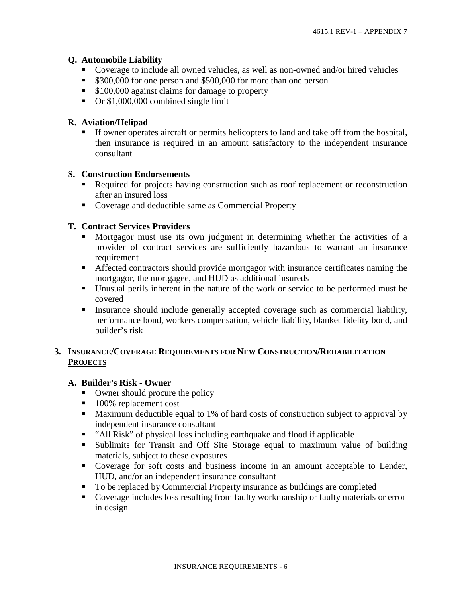## **Q. Automobile Liability**

- Coverage to include all owned vehicles, as well as non-owned and/or hired vehicles
- **\$300,000** for one person and \$500,000 for more than one person
- **S100,000** against claims for damage to property
- Or \$1,000,000 combined single limit

## **R. Aviation/Helipad**

 If owner operates aircraft or permits helicopters to land and take off from the hospital, then insurance is required in an amount satisfactory to the independent insurance consultant

## **S. Construction Endorsements**

- Required for projects having construction such as roof replacement or reconstruction after an insured loss
- Coverage and deductible same as Commercial Property

## **T. Contract Services Providers**

- Mortgagor must use its own judgment in determining whether the activities of a provider of contract services are sufficiently hazardous to warrant an insurance requirement
- Affected contractors should provide mortgagor with insurance certificates naming the mortgagor, the mortgagee, and HUD as additional insureds
- Unusual perils inherent in the nature of the work or service to be performed must be covered
- Insurance should include generally accepted coverage such as commercial liability, performance bond, workers compensation, vehicle liability, blanket fidelity bond, and builder's risk

## **3. INSURANCE/COVERAGE REQUIREMENTS FOR NEW CONSTRUCTION/REHABILITATION PROJECTS**

## **A. Builder's Risk - Owner**

- Owner should procure the policy
- 100% replacement cost
- **Maximum deductible equal to 1% of hard costs of construction subject to approval by** independent insurance consultant
- "All Risk" of physical loss including earthquake and flood if applicable
- Sublimits for Transit and Off Site Storage equal to maximum value of building materials, subject to these exposures
- Coverage for soft costs and business income in an amount acceptable to Lender, HUD, and/or an independent insurance consultant
- To be replaced by Commercial Property insurance as buildings are completed
- Coverage includes loss resulting from faulty workmanship or faulty materials or error in design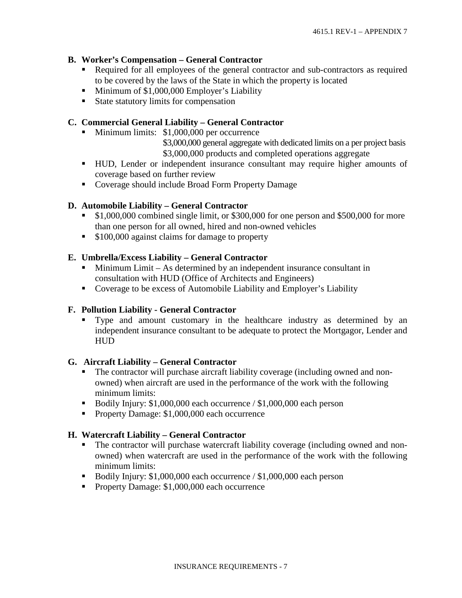## **B. Worker's Compensation – General Contractor**

- Required for all employees of the general contractor and sub-contractors as required to be covered by the laws of the State in which the property is located
- Minimum of \$1,000,000 Employer's Liability
- State statutory limits for compensation

## **C. Commercial General Liability – General Contractor**

Minimum limits: \$1,000,000 per occurrence

\$3,000,000 general aggregate with dedicated limits on a per project basis \$3,000,000 products and completed operations aggregate

- HUD, Lender or independent insurance consultant may require higher amounts of coverage based on further review
- Coverage should include Broad Form Property Damage

## **D. Automobile Liability – General Contractor**

- \$1,000,000 combined single limit, or \$300,000 for one person and \$500,000 for more than one person for all owned, hired and non-owned vehicles
- **S100,000** against claims for damage to property

#### **E. Umbrella/Excess Liability – General Contractor**

- Minimum Limit As determined by an independent insurance consultant in consultation with HUD (Office of Architects and Engineers)
- Coverage to be excess of Automobile Liability and Employer's Liability

## **F. Pollution Liability - General Contractor**

 Type and amount customary in the healthcare industry as determined by an independent insurance consultant to be adequate to protect the Mortgagor, Lender and HUD

#### **G. Aircraft Liability – General Contractor**

- The contractor will purchase aircraft liability coverage (including owned and nonowned) when aircraft are used in the performance of the work with the following minimum limits:
- Bodily Injury: \$1,000,000 each occurrence / \$1,000,000 each person
- Property Damage: \$1,000,000 each occurrence

#### **H. Watercraft Liability – General Contractor**

- The contractor will purchase watercraft liability coverage (including owned and nonowned) when watercraft are used in the performance of the work with the following minimum limits:
- Bodily Injury: \$1,000,000 each occurrence / \$1,000,000 each person
- Property Damage: \$1,000,000 each occurrence